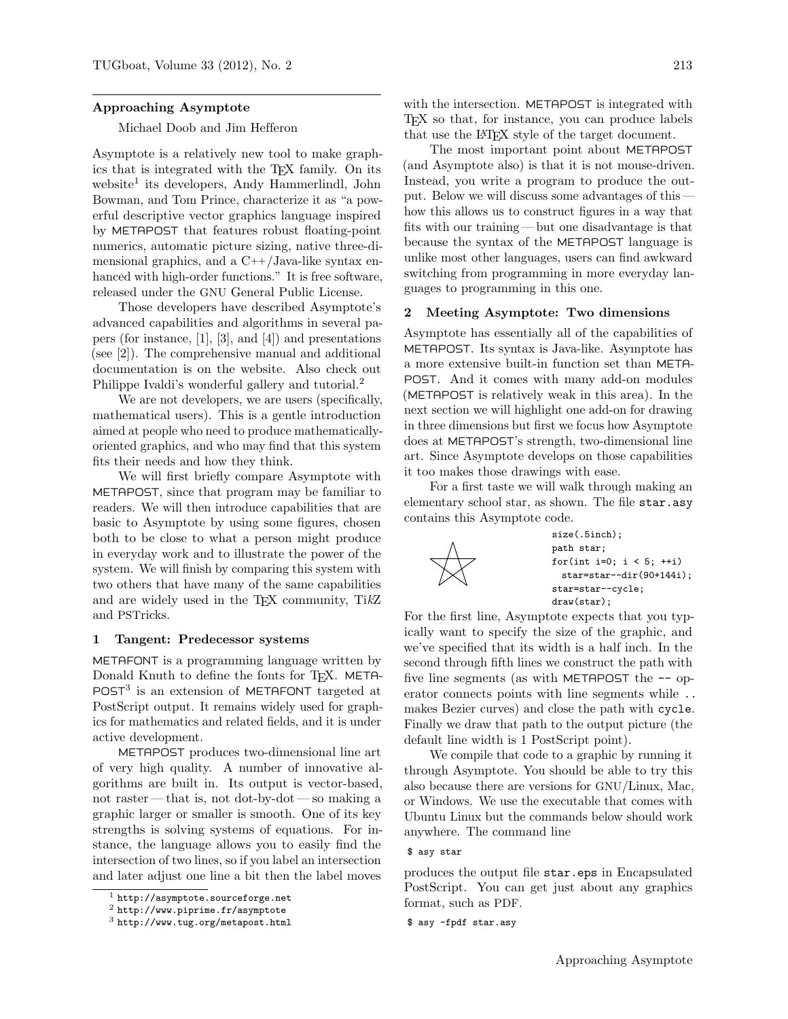#### Approaching Asymptote

## Michael Doob and Jim Hefferon

Asymptote is a relatively new tool to make graphics that is integrated with the TEX family. On its website<sup>1</sup> its developers, Andy Hammerlindl, John Bowman, and Tom Prince, characterize it as "a powerful descriptive vector graphics language inspired by METAPOST that features robust floating-point numerics, automatic picture sizing, native three-dimensional graphics, and a  $C++/Java-like$  syntax enhanced with high-order functions." It is free software, released under the GNU General Public License.

Those developers have described Asymptote's advanced capabilities and algorithms in several papers (for instance, [1], [3], and [4]) and presentations (see [2]). The comprehensive manual and additional documentation is on the website. Also check out Philippe Ivaldi's wonderful gallery and tutorial.<sup>2</sup>

We are not developers, we are users (specifically, mathematical users). This is a gentle introduction aimed at people who need to produce mathematicallyoriented graphics, and who may find that this system fits their needs and how they think.

We will first briefly compare Asymptote with METAPOST, since that program may be familiar to readers. We will then introduce capabilities that are basic to Asymptote by using some figures, chosen both to be close to what a person might produce in everyday work and to illustrate the power of the system. We will finish by comparing this system with two others that have many of the same capabilities and are widely used in the TEX community, TikZ and PSTricks.

### 1 Tangent: Predecessor systems

METAFONT is a programming language written by Donald Knuth to define the fonts for T<sub>E</sub>X. META- $POST<sup>3</sup>$  is an extension of METAFONT targeted at PostScript output. It remains widely used for graphics for mathematics and related fields, and it is under active development.

METAPOST produces two-dimensional line art of very high quality. A number of innovative algorithms are built in. Its output is vector-based, not raster— that is, not dot-by-dot— so making a graphic larger or smaller is smooth. One of its key strengths is solving systems of equations. For instance, the language allows you to easily find the intersection of two lines, so if you label an intersection and later adjust one line a bit then the label moves

with the intersection. METAPOST is integrated with TEX so that, for instance, you can produce labels that use the L<sup>A</sup>TEX style of the target document.

The most important point about METAPOST (and Asymptote also) is that it is not mouse-driven. Instead, you write a program to produce the output. Below we will discuss some advantages of this how this allows us to construct figures in a way that fits with our training — but one disadvantage is that because the syntax of the METAPOST language is unlike most other languages, users can find awkward switching from programming in more everyday languages to programming in this one.

## 2 Meeting Asymptote: Two dimensions

Asymptote has essentially all of the capabilities of METAPOST. Its syntax is Java-like. Asymptote has a more extensive built-in function set than META-POST. And it comes with many add-on modules (METAPOST is relatively weak in this area). In the next section we will highlight one add-on for drawing in three dimensions but first we focus how Asymptote does at METAPOST's strength, two-dimensional line art. Since Asymptote develops on those capabilities it too makes those drawings with ease.

For a first taste we will walk through making an elementary school star, as shown. The file star.asy contains this Asymptote code.



size(.5inch); path star; for(int i=0;  $i < 5$ ; ++i) star=star--dir(90+144i); star=star--cycle; draw(star);

For the first line, Asymptote expects that you typically want to specify the size of the graphic, and we've specified that its width is a half inch. In the second through fifth lines we construct the path with five line segments (as with METAPOST the  $-$  operator connects points with line segments while .. makes Bezier curves) and close the path with cycle. Finally we draw that path to the output picture (the default line width is 1 PostScript point).

We compile that code to a graphic by running it through Asymptote. You should be able to try this also because there are versions for GNU/Linux, Mac, or Windows. We use the executable that comes with Ubuntu Linux but the commands below should work anywhere. The command line

produces the output file star.eps in Encapsulated PostScript. You can get just about any graphics format, such as PDF.

<sup>1</sup> http://asymptote.sourceforge.net

<sup>2</sup> http://www.piprime.fr/asymptote

<sup>3</sup> http://www.tug.org/metapost.html

<sup>\$</sup> asy star

<sup>\$</sup> asy -fpdf star.asy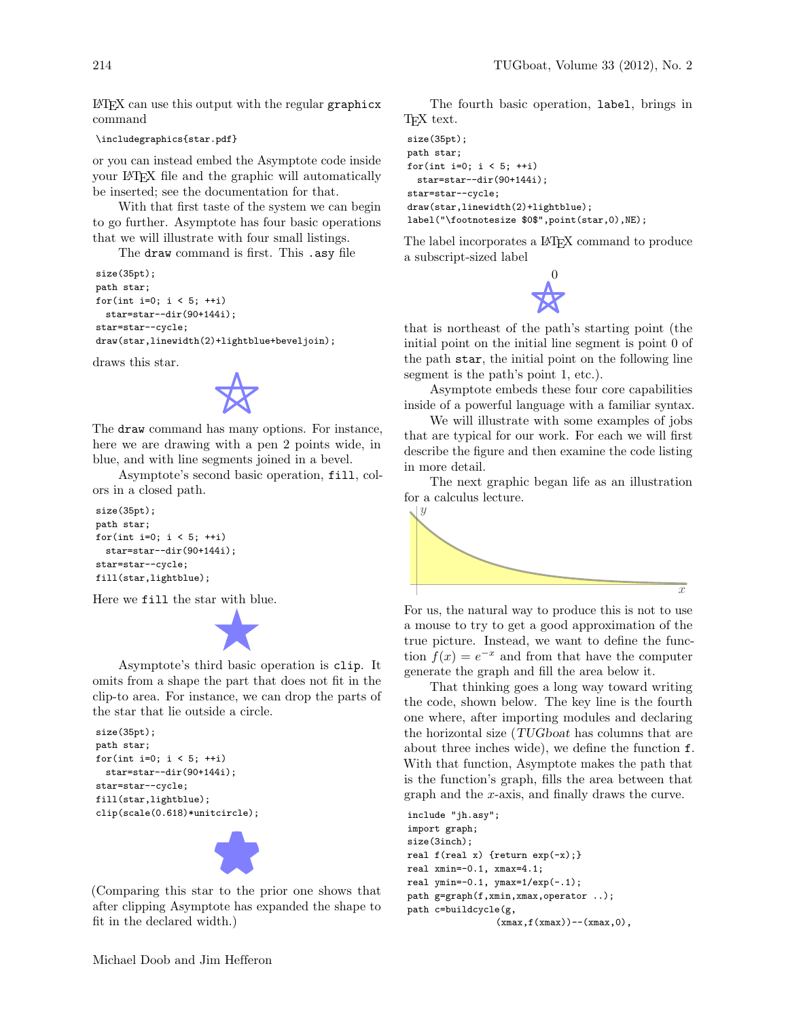L<sup>A</sup>TEX can use this output with the regular graphicx command

```
\includegraphics{star.pdf}
```
or you can instead embed the Asymptote code inside your LATEX file and the graphic will automatically be inserted; see the documentation for that.

With that first taste of the system we can begin to go further. Asymptote has four basic operations that we will illustrate with four small listings.

The draw command is first. This .asy file

```
size(35pt);
path star;
for(int i=0; i < 5; ++i)
 star=star--dir(90+144i);
star=star--cycle;
draw(star,linewidth(2)+lightblue+beveljoin);
```
draws this star.



The draw command has many options. For instance, here we are drawing with a pen 2 points wide, in blue, and with line segments joined in a bevel.

Asymptote's second basic operation, fill, colors in a closed path.

```
size(35pt);
path star;
for(int i=0; i < 5; ++i)
 star=star--dir(90+144i);
star=star--cycle;
fill(star,lightblue);
```
Here we fill the star with blue.



Asymptote's third basic operation is clip. It omits from a shape the part that does not fit in the clip-to area. For instance, we can drop the parts of the star that lie outside a circle.

```
size(35pt);
path star;
for(int i=0; i < 5; ++i)
 star=star--dir(90+144i);
star=star--cycle;
fill(star,lightblue);
clip(scale(0.618)*unitcircle);
```


(Comparing this star to the prior one shows that after clipping Asymptote has expanded the shape to fit in the declared width.)

The fourth basic operation, label, brings in T<sub>F</sub>X text.

```
size(35pt);
path star;
for(int i=0; i < 5; ++i)
 star=star--dir(90+144i);
star=star--cycle;
draw(star,linewidth(2)+lightblue);
label("\footnotesize $0$",point(star,0),NE);
```
The label incorporates a IATEX command to produce a subscript-sized label



that is northeast of the path's starting point (the initial point on the initial line segment is point 0 of the path star, the initial point on the following line segment is the path's point 1, etc.).

Asymptote embeds these four core capabilities inside of a powerful language with a familiar syntax.

We will illustrate with some examples of jobs that are typical for our work. For each we will first describe the figure and then examine the code listing in more detail.

The next graphic began life as an illustration for a calculus lecture.



For us, the natural way to produce this is not to use a mouse to try to get a good approximation of the true picture. Instead, we want to define the function  $f(x) = e^{-x}$  and from that have the computer generate the graph and fill the area below it.

That thinking goes a long way toward writing the code, shown below. The key line is the fourth one where, after importing modules and declaring the horizontal size (TUGboat has columns that are about three inches wide), we define the function f. With that function, Asymptote makes the path that is the function's graph, fills the area between that graph and the x-axis, and finally draws the curve.

```
include "jh.asy";
import graph;
size(3inch);
real f(real x) {return exp(-x);}
real xmin=-0.1, xmax=4.1;
real ymin=-0.1, ymax=1/exp(-.1);
path g=graph(f,xmin,xmax,operator ..);
path c=buildcycle(g,
                 (xmax, f(xmax)) - (xmax, 0),
```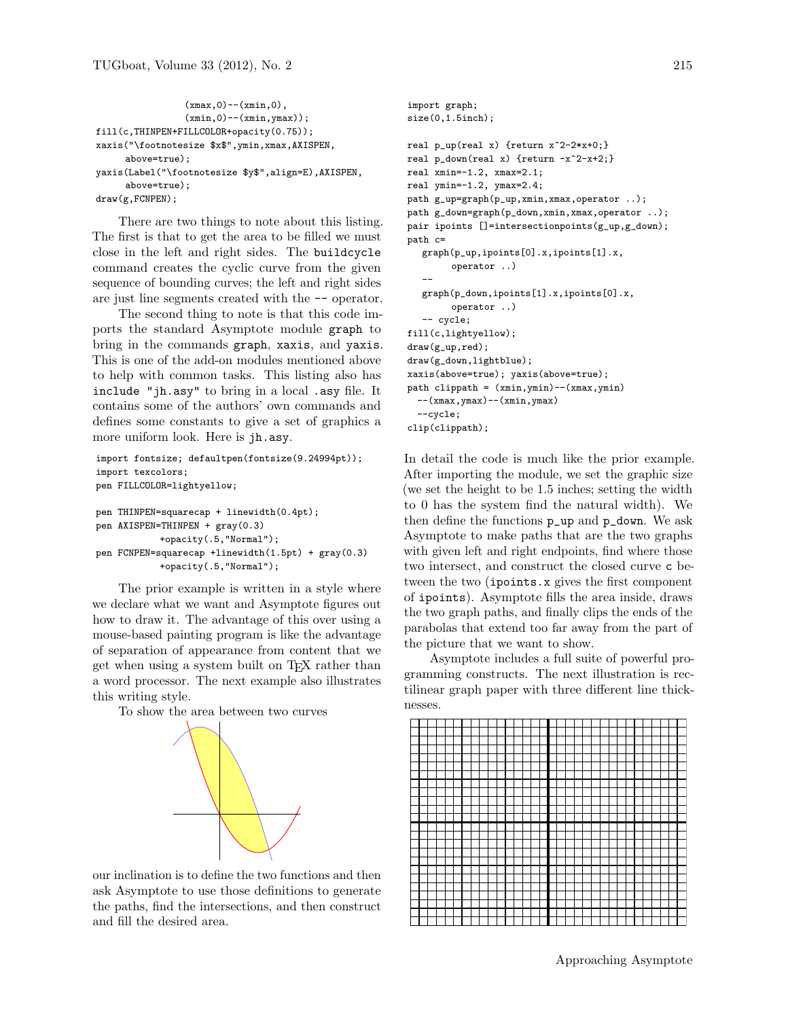```
(xmax,0)--(xmin,0),
                (xmin,0)--(xmin,ymax));
fill(c,THINPEN+FILLCOLOR+opacity(0.75));
xaxis("\footnotesize $x$",ymin,xmax,AXISPEN,
     above=true);
yaxis(Label("\footnotesize $y$",align=E),AXISPEN,
     above=true);
draw(g,FCNPEN);
```
There are two things to note about this listing. The first is that to get the area to be filled we must close in the left and right sides. The buildcycle command creates the cyclic curve from the given sequence of bounding curves; the left and right sides are just line segments created with the -- operator.

The second thing to note is that this code imports the standard Asymptote module graph to bring in the commands graph, xaxis, and yaxis. This is one of the add-on modules mentioned above to help with common tasks. This listing also has include "jh.asy" to bring in a local .asy file. It contains some of the authors' own commands and defines some constants to give a set of graphics a more uniform look. Here is jh.asy.

```
import fontsize; defaultpen(fontsize(9.24994pt));
import texcolors;
pen FILLCOLOR=lightyellow;
pen THINPEN=squarecap + linewidth(0.4pt);
pen AXISPEN=THINPEN + gray(0.3)
           +opacity(.5,"Normal");
pen FCNPEN=squarecap +linewidth(1.5pt) + gray(0.3)
           +opacity(.5,"Normal");
```
The prior example is written in a style where we declare what we want and Asymptote figures out how to draw it. The advantage of this over using a mouse-based painting program is like the advantage of separation of appearance from content that we get when using a system built on TEX rather than a word processor. The next example also illustrates this writing style.

To show the area between two curves



our inclination is to define the two functions and then ask Asymptote to use those definitions to generate the paths, find the intersections, and then construct and fill the desired area.

```
import graph;
size(0,1.5inch);
real p_{up}(real x) {return x^2-2*x+0;}
real p_down(real x) {return -x^2-x+2;}
real xmin=-1.2, xmax=2.1;
real ymin=-1.2, ymax=2.4;
path g_up=graph(p_up,xmin,xmax,operator ..);
path g_down=graph(p_down,xmin,xmax,operator ..);
pair ipoints []=intersectionpoints(g_up,g_down);
path c=
  graph(p_up,ipoints[0].x,ipoints[1].x,
        operator ..)
   --
  graph(p_down,ipoints[1].x,ipoints[0].x,
        operator ..)
   -- cycle;
fill(c,lightyellow);
draw(g_up,red);
draw(g_down,lightblue);
xaxis(above=true); yaxis(above=true);
path clippath = (xmin, ymin) --(xmax, ymin)-(xmax, ymax) - (xmin, ymax)--cycle;
clip(clippath);
```
In detail the code is much like the prior example. After importing the module, we set the graphic size (we set the height to be 1.5 inches; setting the width to 0 has the system find the natural width). We then define the functions p\_up and p\_down. We ask Asymptote to make paths that are the two graphs with given left and right endpoints, find where those two intersect, and construct the closed curve c between the two (ipoints.x gives the first component of ipoints). Asymptote fills the area inside, draws the two graph paths, and finally clips the ends of the parabolas that extend too far away from the part of the picture that we want to show.

Asymptote includes a full suite of powerful programming constructs. The next illustration is rectilinear graph paper with three different line thicknesses.

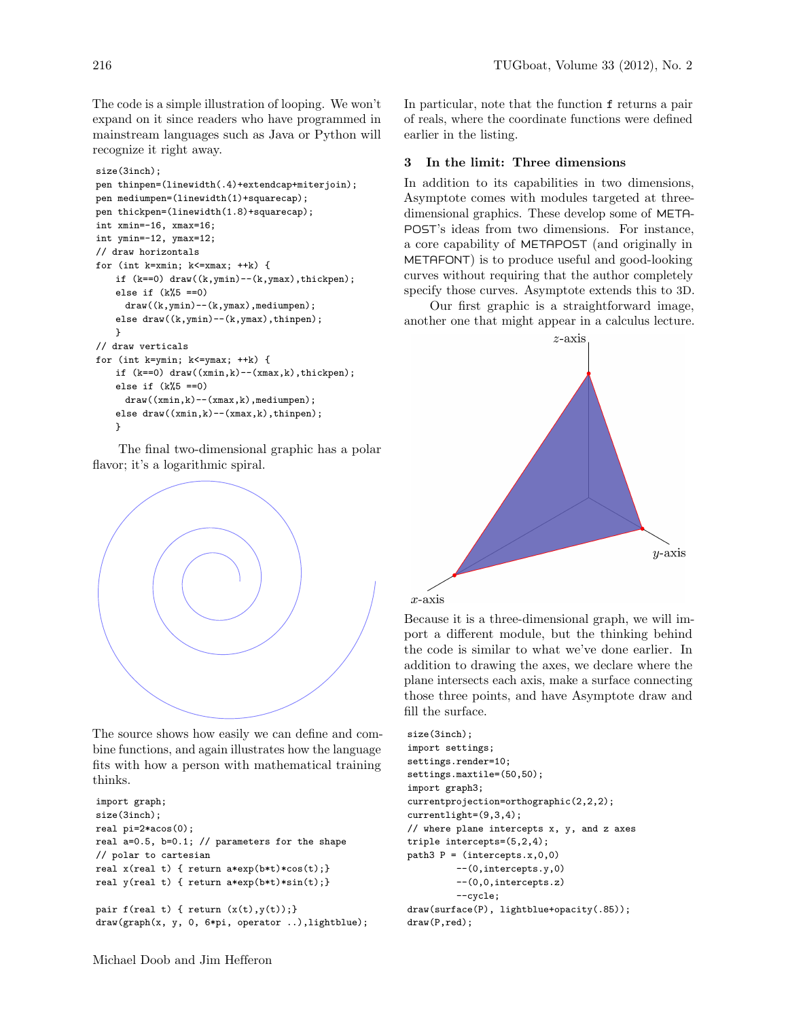The code is a simple illustration of looping. We won't expand on it since readers who have programmed in mainstream languages such as Java or Python will recognize it right away.

```
size(3inch);
pen thinpen=(linewidth(.4)+extendcap+miterjoin);
pen mediumpen=(linewidth(1)+squarecap);
pen thickpen=(linewidth(1.8)+squarecap);
int xmin=-16, xmax=16;
int ymin=-12, ymax=12;
// draw horizontals
for (int k=xmin; k<=xmax; ++k) {
   if (k==0) draw((k, ymin) - (k, ymax),thickpen);
    else if (k%5 ==0)
     draw((k,ymin)--(k,ymax),mediumpen);
    else draw((k,ymin)--(k,ymax),thinpen);
   }
// draw verticals
for (int k=ymin; k<=ymax; ++k) {
   if (k==0) draw((xmin,k)--(xmax,k),thickpen);
   else if (k%5 ==0)
     draw((xmin,k)--(xmax,k),mediumpen);
    else draw((xmin,k)--(xmax,k),thinpen);
```

```
}
```
The final two-dimensional graphic has a polar flavor; it's a logarithmic spiral.



The source shows how easily we can define and combine functions, and again illustrates how the language fits with how a person with mathematical training thinks.

```
import graph;
size(3inch);
real pi=2*acos(0);
real a=0.5, b=0.1; // parameters for the shape
// polar to cartesian
real x(real t) { return a*exp(b*t)*cos(t);}
real y(real t) { return a*exp(b*t)*sin(t);}
pair f(\text{real } t) { return (x(t), y(t)); }
draw(graph(x, y, 0, 6*pi, operator ..),lightblue);
```
In particular, note that the function f returns a pair of reals, where the coordinate functions were defined earlier in the listing.

# 3 In the limit: Three dimensions

In addition to its capabilities in two dimensions, Asymptote comes with modules targeted at threedimensional graphics. These develop some of META-POST's ideas from two dimensions. For instance, a core capability of METAPOST (and originally in METAFONT) is to produce useful and good-looking curves without requiring that the author completely specify those curves. Asymptote extends this to 3D.

Our first graphic is a straightforward image, another one that might appear in a calculus lecture.





Because it is a three-dimensional graph, we will import a different module, but the thinking behind the code is similar to what we've done earlier. In addition to drawing the axes, we declare where the plane intersects each axis, make a surface connecting those three points, and have Asymptote draw and fill the surface.

```
size(3inch);
import settings;
settings.render=10;
settings.maxtile=(50,50);
import graph3;
currentprojection=orthographic(2,2,2);
currentlight=(9,3,4);
// where plane intercepts x, y, and z axes
triple intercepts=(5,2,4);
path3 P = (intercepts.x, 0, 0)--(0,intercepts.y,0)
         --(0,0,intercepts.z)
         --cycle;
draw(surface(P), lightblue+opacity(.85));
draw(P,red);
```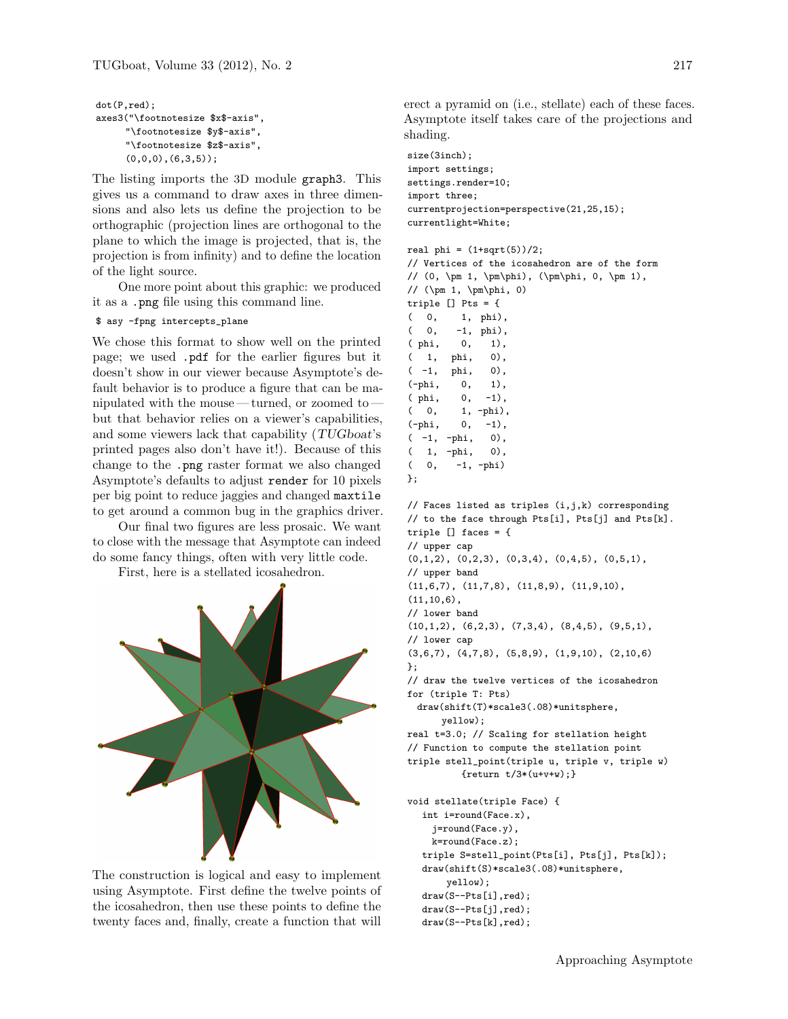```
dot(P,red);
axes3("\footnotesize $x$-axis",
     "\footnotesize $y$-axis",
     "\footnotesize $z$-axis",
     (0,0,0),(6,3,5);
```
The listing imports the 3D module graph3. This gives us a command to draw axes in three dimensions and also lets us define the projection to be orthographic (projection lines are orthogonal to the plane to which the image is projected, that is, the projection is from infinity) and to define the location of the light source.

One more point about this graphic: we produced it as a .png file using this command line.

#### \$ asy -fpng intercepts\_plane

We chose this format to show well on the printed page; we used .pdf for the earlier figures but it doesn't show in our viewer because Asymptote's default behavior is to produce a figure that can be manipulated with the mouse — turned, or zoomed to but that behavior relies on a viewer's capabilities, and some viewers lack that capability (TUGboat's printed pages also don't have it!). Because of this change to the .png raster format we also changed Asymptote's defaults to adjust render for 10 pixels per big point to reduce jaggies and changed maxtile to get around a common bug in the graphics driver.

Our final two figures are less prosaic. We want to close with the message that Asymptote can indeed do some fancy things, often with very little code.

First, here is a stellated icosahedron.



The construction is logical and easy to implement using Asymptote. First define the twelve points of the icosahedron, then use these points to define the twenty faces and, finally, create a function that will erect a pyramid on (i.e., stellate) each of these faces. Asymptote itself takes care of the projections and shading.

size(3inch); import settings; settings.render=10; import three; currentprojection=perspective(21,25,15); currentlight=White;

```
real phi = (1+sqrt(5))/2;
```
// Vertices of the icosahedron are of the form // (0, \pm 1, \pm\phi), (\pm\phi, 0, \pm 1), // (\pm 1, \pm\phi, 0) triple [] Pts = { ( 0, 1, phi), ( 0, -1, phi), ( phi, 0, 1), ( 1, phi, 0), ( -1, phi, 0), (-phi, 0, 1), ( phi, 0, -1), ( 0, 1, -phi), (-phi, 0, -1),  $(-1, -phi, 0),$ ( 1, -phi, 0), ( 0, -1, -phi) };

// Faces listed as triples (i,j,k) corresponding // to the face through Pts[i], Pts[j] and Pts[k]. triple [] faces = { // upper cap  $(0,1,2)$ ,  $(0,2,3)$ ,  $(0,3,4)$ ,  $(0,4,5)$ ,  $(0,5,1)$ , // upper band (11,6,7), (11,7,8), (11,8,9), (11,9,10), (11,10,6), // lower band (10,1,2), (6,2,3), (7,3,4), (8,4,5), (9,5,1), // lower cap (3,6,7), (4,7,8), (5,8,9), (1,9,10), (2,10,6) }; // draw the twelve vertices of the icosahedron for (triple T: Pts) draw(shift(T)\*scale3(.08)\*unitsphere, yellow); real t=3.0; // Scaling for stellation height // Function to compute the stellation point triple stell\_point(triple u, triple v, triple w) { $return t/3*(u+v+w);$ } void stellate(triple Face) { int i=round(Face.x), j=round(Face.y), k=round(Face.z); triple S=stell\_point(Pts[i], Pts[j], Pts[k]); draw(shift(S)\*scale3(.08)\*unitsphere, yellow); draw(S--Pts[i],red);

```
draw(S--Pts[j],red);
```

```
draw(S--Pts[k],red);
```